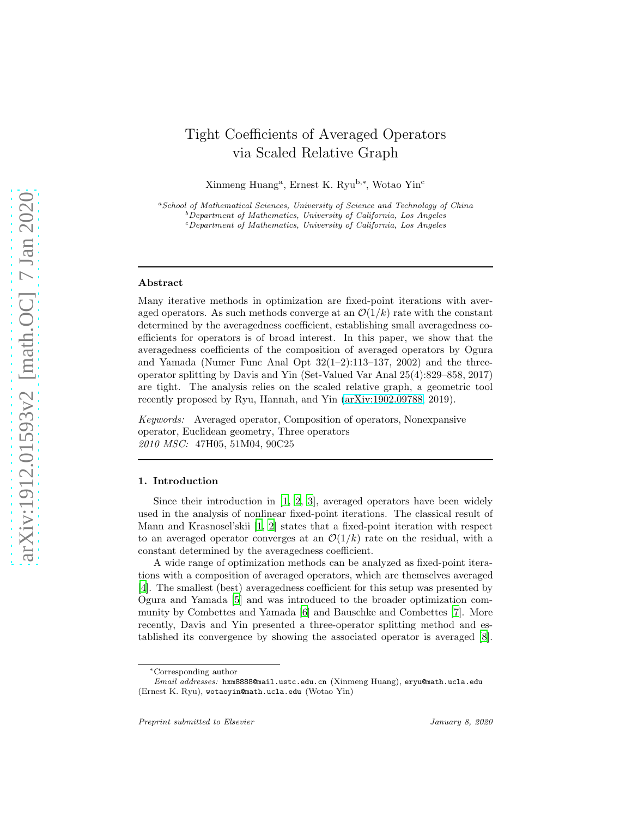# Tight Coefficients of Averaged Operators via Scaled Relative Graph

Xinmeng Huang<sup>a</sup>, Ernest K. Ryu<sup>b,\*</sup>, Wotao Yin<sup>c</sup>

<sup>a</sup>School of Mathematical Sciences, University of Science and Technology of China  $b$ Department of Mathematics, University of California, Los Angeles <sup>c</sup>Department of Mathematics, University of California, Los Angeles

#### Abstract

Many iterative methods in optimization are fixed-point iterations with averaged operators. As such methods converge at an  $\mathcal{O}(1/k)$  rate with the constant determined by the averagedness coefficient, establishing small averagedness coefficients for operators is of broad interest. In this paper, we show that the averagedness coefficients of the composition of averaged operators by Ogura and Yamada (Numer Func Anal Opt  $32(1-2):113-137, 2002$ ) and the threeoperator splitting by Davis and Yin (Set-Valued Var Anal 25(4):829–858, 2017) are tight. The analysis relies on the scaled relative graph, a geometric tool recently proposed by Ryu, Hannah, and Yin [\(arXiv:1902.09788,](http://arxiv.org/abs/1902.09788) 2019).

Keywords: Averaged operator, Composition of operators, Nonexpansive operator, Euclidean geometry, Three operators 2010 MSC: 47H05, 51M04, 90C25

# 1. Introduction

Since their introduction in [\[1](#page-12-0), [2](#page-12-1), [3](#page-12-2)], averaged operators have been widely used in the analysis of nonlinear fixed-point iterations. The classical result of Mann and Krasnosel'skii [\[1,](#page-12-0) [2\]](#page-12-1) states that a fixed-point iteration with respect to an averaged operator converges at an  $\mathcal{O}(1/k)$  rate on the residual, with a constant determined by the averagedness coefficient.

A wide range of optimization methods can be analyzed as fixed-point iterations with a composition of averaged operators, which are themselves averaged [\[4\]](#page-13-0). The smallest (best) averagedness coefficient for this setup was presented by Ogura and Yamada [\[5](#page-13-1)] and was introduced to the broader optimization community by Combettes and Yamada [\[6\]](#page-13-2) and Bauschke and Combettes [\[7\]](#page-13-3). More recently, Davis and Yin presented a three-operator splitting method and established its convergence by showing the associated operator is averaged [\[8\]](#page-13-4).

<sup>∗</sup>Corresponding author

Email addresses: hxm8888@mail.ustc.edu.cn (Xinmeng Huang), eryu@math.ucla.edu (Ernest K. Ryu), wotaoyin@math.ucla.edu (Wotao Yin)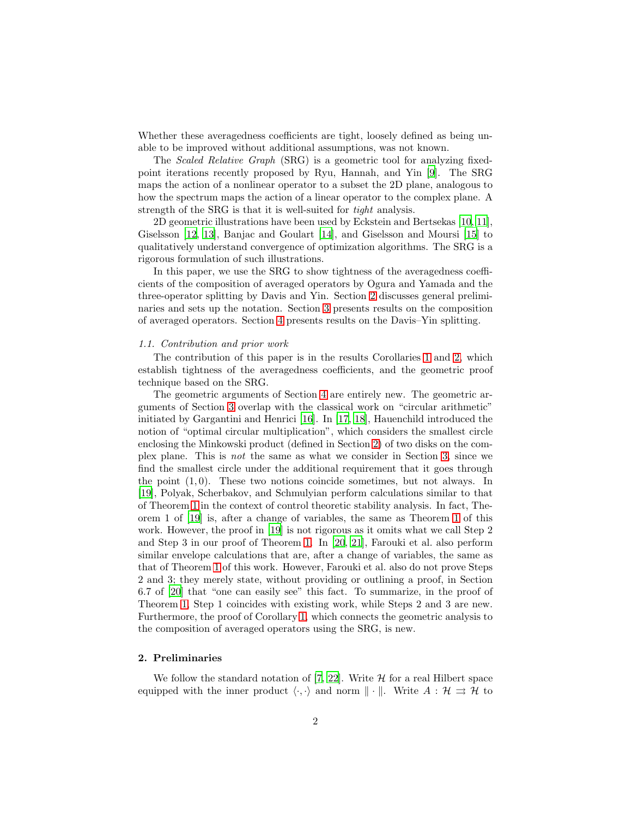Whether these averagedness coefficients are tight, loosely defined as being unable to be improved without additional assumptions, was not known.

The Scaled Relative Graph (SRG) is a geometric tool for analyzing fixedpoint iterations recently proposed by Ryu, Hannah, and Yin [\[9](#page-13-5)]. The SRG maps the action of a nonlinear operator to a subset the 2D plane, analogous to how the spectrum maps the action of a linear operator to the complex plane. A strength of the SRG is that it is well-suited for tight analysis.

2D geometric illustrations have been used by Eckstein and Bertsekas [\[10,](#page-13-6) [11\]](#page-13-7), Giselsson [\[12,](#page-13-8) [13](#page-13-9)], Banjac and Goulart [\[14](#page-13-10)], and Giselsson and Moursi [\[15\]](#page-13-11) to qualitatively understand convergence of optimization algorithms. The SRG is a rigorous formulation of such illustrations.

In this paper, we use the SRG to show tightness of the averagedness coefficients of the composition of averaged operators by Ogura and Yamada and the three-operator splitting by Davis and Yin. Section [2](#page-1-0) discusses general preliminaries and sets up the notation. Section [3](#page-4-0) presents results on the composition of averaged operators. Section [4](#page-8-0) presents results on the Davis–Yin splitting.

#### 1.1. Contribution and prior work

The contribution of this paper is in the results Corollaries [1](#page-5-0) and [2,](#page-8-1) which establish tightness of the averagedness coefficients, and the geometric proof technique based on the SRG.

The geometric arguments of Section [4](#page-8-0) are entirely new. The geometric arguments of Section [3](#page-4-0) overlap with the classical work on "circular arithmetic" initiated by Gargantini and Henrici [\[16](#page-13-12)]. In [\[17,](#page-13-13) [18\]](#page-13-14), Hauenchild introduced the notion of "optimal circular multiplication", which considers the smallest circle enclosing the Minkowski product (defined in Section [2\)](#page-1-0) of two disks on the complex plane. This is not the same as what we consider in Section [3,](#page-4-0) since we find the smallest circle under the additional requirement that it goes through the point  $(1, 0)$ . These two notions coincide sometimes, but not always. In [\[19\]](#page-14-0), Polyak, Scherbakov, and Schmulyian perform calculations similar to that of Theorem [1](#page-4-1) in the context of control theoretic stability analysis. In fact, Theorem 1 of [\[19\]](#page-14-0) is, after a change of variables, the same as Theorem [1](#page-4-1) of this work. However, the proof in [\[19\]](#page-14-0) is not rigorous as it omits what we call Step 2 and Step 3 in our proof of Theorem [1.](#page-4-1) In [\[20](#page-14-1), [21\]](#page-14-2), Farouki et al. also perform similar envelope calculations that are, after a change of variables, the same as that of Theorem [1](#page-4-1) of this work. However, Farouki et al. also do not prove Steps 2 and 3; they merely state, without providing or outlining a proof, in Section 6.7 of [\[20](#page-14-1)] that "one can easily see" this fact. To summarize, in the proof of Theorem [1,](#page-4-1) Step 1 coincides with existing work, while Steps 2 and 3 are new. Furthermore, the proof of Corollary [1,](#page-5-0) which connects the geometric analysis to the composition of averaged operators using the SRG, is new.

# <span id="page-1-0"></span>2. Preliminaries

We follow the standard notation of [\[7,](#page-13-3) [22\]](#page-14-3). Write  $H$  for a real Hilbert space equipped with the inner product  $\langle \cdot, \cdot \rangle$  and norm  $\|\cdot\|$ . Write  $A : \mathcal{H} \rightrightarrows \mathcal{H}$  to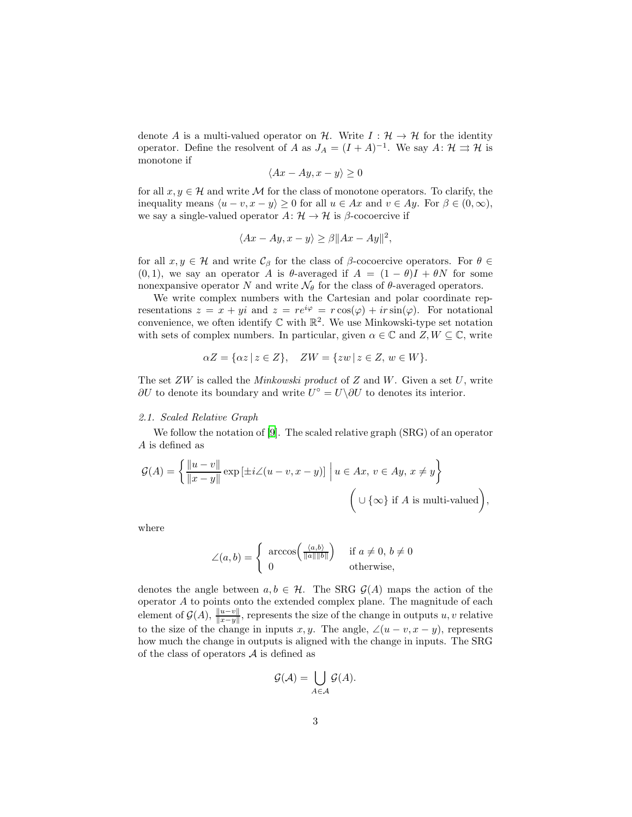denote A is a multi-valued operator on H. Write  $I: \mathcal{H} \to \mathcal{H}$  for the identity operator. Define the resolvent of A as  $J_A = (I + A)^{-1}$ . We say  $A: \mathcal{H} \rightrightarrows \mathcal{H}$  is monotone if

$$
\langle Ax - Ay, x - y \rangle \ge 0
$$

for all  $x, y \in \mathcal{H}$  and write M for the class of monotone operators. To clarify, the inequality means  $\langle u - v, x - y \rangle \geq 0$  for all  $u \in Ax$  and  $v \in Ay$ . For  $\beta \in (0, \infty)$ , we say a single-valued operator  $A: \mathcal{H} \to \mathcal{H}$  is  $\beta$ -cocoercive if

$$
\langle Ax - Ay, x - y \rangle \ge \beta ||Ax - Ay||^2,
$$

for all  $x, y \in \mathcal{H}$  and write  $\mathcal{C}_{\beta}$  for the class of  $\beta$ -cocoercive operators. For  $\theta \in$  $(0, 1)$ , we say an operator A is  $\theta$ -averaged if  $A = (1 - \theta)I + \theta N$  for some nonexpansive operator N and write  $\mathcal{N}_{\theta}$  for the class of  $\theta$ -averaged operators.

We write complex numbers with the Cartesian and polar coordinate representations  $z = x + yi$  and  $z = re^{i\varphi} = r \cos(\varphi) + ir \sin(\varphi)$ . For notational convenience, we often identify  $\mathbb C$  with  $\mathbb R^2$ . We use Minkowski-type set notation with sets of complex numbers. In particular, given  $\alpha \in \mathbb{C}$  and  $Z, W \subseteq \mathbb{C}$ , write

$$
\alpha Z = \{ \alpha z \mid z \in Z \}, \quad ZW = \{ zw \mid z \in Z, w \in W \}.
$$

The set  $ZW$  is called the *Minkowski product* of  $Z$  and  $W$ . Given a set  $U$ , write  $\partial U$  to denote its boundary and write  $U^{\circ} = U \setminus \partial U$  to denotes its interior.

#### 2.1. Scaled Relative Graph

We follow the notation of [\[9\]](#page-13-5). The scaled relative graph (SRG) of an operator A is defined as

$$
\mathcal{G}(A) = \left\{ \frac{\|u - v\|}{\|x - y\|} \exp\left[\pm i \angle(u - v, x - y)\right] \Big| u \in Ax, v \in Ay, x \neq y \right\}
$$
  

$$
\left(\cup \{\infty\} \text{ if } A \text{ is multi-valued}\right),
$$

where

$$
\angle(a,b) = \begin{cases} \arccos\left(\frac{\langle a,b\rangle}{\|a\| \|b\|}\right) & \text{if } a \neq 0, b \neq 0\\ 0 & \text{otherwise,} \end{cases}
$$

denotes the angle between  $a, b \in \mathcal{H}$ . The SRG  $\mathcal{G}(A)$  maps the action of the operator  $A$  to points onto the extended complex plane. The magnitude of each element of  $\mathcal{G}(A)$ ,  $\frac{\|u-v\|}{\|x-y\|}$ , represents the size of the change in outputs u, v relative to the size of the change in inputs x, y. The angle,  $\angle(u - v, x - y)$ , represents how much the change in outputs is aligned with the change in inputs. The SRG of the class of operators  $A$  is defined as

$$
\mathcal{G}(\mathcal{A}) = \bigcup_{A \in \mathcal{A}} \mathcal{G}(A).
$$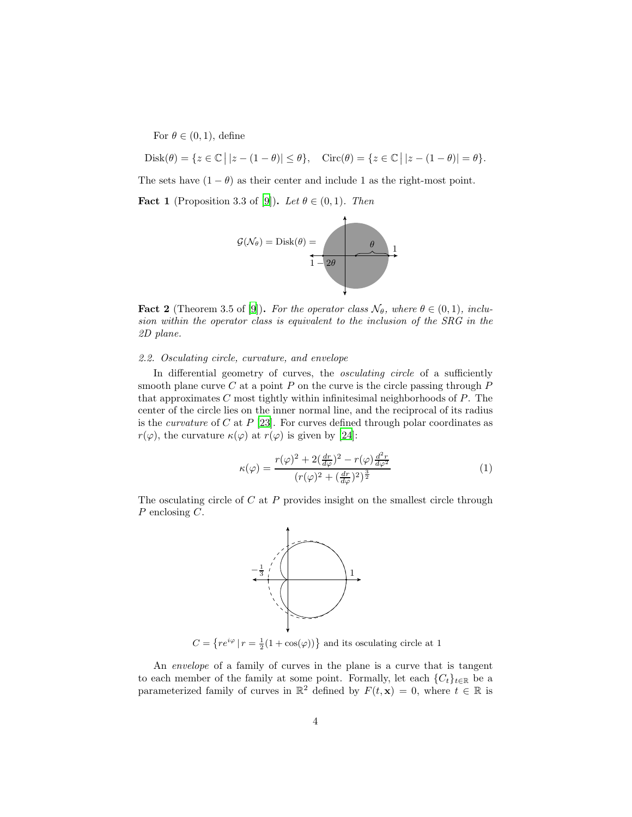For  $\theta \in (0,1)$ , define

$$
Disk(\theta) = \{ z \in \mathbb{C} \mid |z - (1 - \theta)| \le \theta \}, \quad \text{Circ}(\theta) = \{ z \in \mathbb{C} \mid |z - (1 - \theta)| = \theta \}.
$$

The sets have  $(1 - \theta)$  as their center and include 1 as the right-most point.

**Fact 1** (Proposition 3.3 of [\[9](#page-13-5)]). Let  $\theta \in (0,1)$ . Then



<span id="page-3-0"></span>**Fact 2** (Theorem 3.5 of [\[9](#page-13-5)]). For the operator class  $\mathcal{N}_{\theta}$ , where  $\theta \in (0,1)$ , inclusion within the operator class is equivalent to the inclusion of the SRG in the 2D plane.

# 2.2. Osculating circle, curvature, and envelope

In differential geometry of curves, the *osculating circle* of a sufficiently smooth plane curve  $C$  at a point  $P$  on the curve is the circle passing through  $P$ that approximates  $C$  most tightly within infinitesimal neighborhoods of  $P$ . The center of the circle lies on the inner normal line, and the reciprocal of its radius is the *curvature* of C at  $P$  [\[23\]](#page-14-4). For curves defined through polar coordinates as  $r(\varphi)$ , the curvature  $\kappa(\varphi)$  at  $r(\varphi)$  is given by [\[24](#page-14-5)]:

<span id="page-3-1"></span>
$$
\kappa(\varphi) = \frac{r(\varphi)^2 + 2(\frac{dr}{d\varphi})^2 - r(\varphi)\frac{d^2r}{d\varphi^2}}{(r(\varphi)^2 + (\frac{dr}{d\varphi})^2)^{\frac{3}{2}}}
$$
(1)

The osculating circle of  $C$  at  $P$  provides insight on the smallest circle through P enclosing C.



 $C = \{re^{i\varphi} | r = \frac{1}{2}(1 + \cos(\varphi))\}$  and its osculating circle at 1

An envelope of a family of curves in the plane is a curve that is tangent to each member of the family at some point. Formally, let each  ${C<sub>t</sub>}<sub>t∈R</sub>$  be a parameterized family of curves in  $\mathbb{R}^2$  defined by  $F(t, \mathbf{x}) = 0$ , where  $t \in \mathbb{R}$  is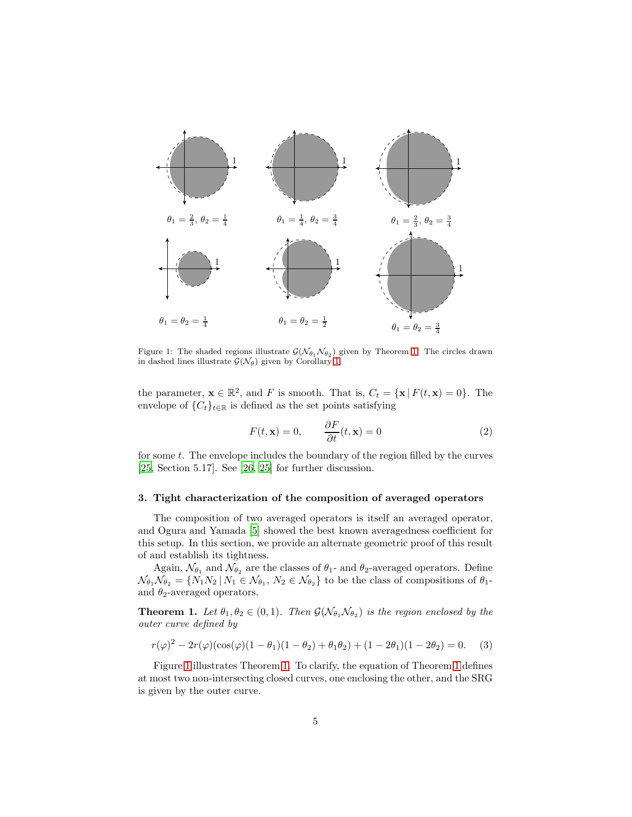<span id="page-4-2"></span>

Figure 1: The shaded regions illustrate  $\mathcal{G}(\mathcal{N}_{\theta_1} \mathcal{N}_{\theta_2})$  given by Theorem [1.](#page-4-1) The circles drawn in dashed lines illustrate  $\mathcal{G}(\mathcal{N}_{\theta})$  given by Corollary [1.](#page-5-0)

the parameter,  $\mathbf{x} \in \mathbb{R}^2$ , and F is smooth. That is,  $C_t = {\mathbf{x} | F(t, \mathbf{x}) = 0}$ . The envelope of  $\{C_t\}_{t\in\mathbb{R}}$  is defined as the set points satisfying

<span id="page-4-4"></span>
$$
F(t, \mathbf{x}) = 0, \qquad \frac{\partial F}{\partial t}(t, \mathbf{x}) = 0 \tag{2}
$$

for some t. The envelope includes the boundary of the region filled by the curves [\[25,](#page-14-6) Section 5.17]. See [\[26,](#page-14-7) [25\]](#page-14-6) for further discussion.

#### <span id="page-4-0"></span>3. Tight characterization of the composition of averaged operators

The composition of two averaged operators is itself an averaged operator, and Ogura and Yamada [\[5](#page-13-1)] showed the best known averagedness coefficient for this setup. In this section, we provide an alternate geometric proof of this result of and establish its tightness.

Again,  $\mathcal{N}_{\theta_1}$  and  $\mathcal{N}_{\theta_2}$  are the classes of  $\theta_1$ - and  $\theta_2$ -averaged operators. Define  $\mathcal{N}_{\theta_1} \mathcal{N}_{\theta_2} = \{ N_1 N_2 \, | \, N_1 \in \mathcal{N}_{\theta_1}, \, N_2 \in \mathcal{N}_{\theta_2} \}$  to be the class of compositions of  $\theta_1$ and  $\theta_2$ -averaged operators.

<span id="page-4-1"></span>**Theorem 1.** Let  $\theta_1, \theta_2 \in (0,1)$ . Then  $\mathcal{G}(\mathcal{N}_{\theta_1}, \mathcal{N}_{\theta_2})$  is the region enclosed by the outer curve defined by

<span id="page-4-3"></span>
$$
r(\varphi)^2 - 2r(\varphi)(\cos(\varphi)(1 - \theta_1)(1 - \theta_2) + \theta_1 \theta_2) + (1 - 2\theta_1)(1 - 2\theta_2) = 0. \tag{3}
$$

Figure [1](#page-4-2) illustrates Theorem [1.](#page-4-1) To clarify, the equation of Theorem [1](#page-4-1) defines at most two non-intersecting closed curves, one enclosing the other, and the SRG is given by the outer curve.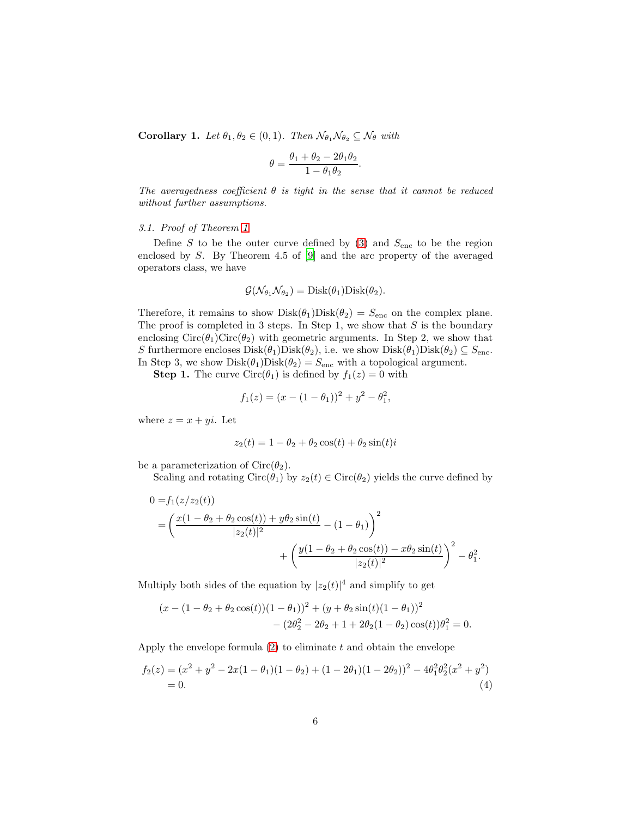<span id="page-5-0"></span>**Corollary 1.** Let  $\theta_1, \theta_2 \in (0, 1)$ . Then  $\mathcal{N}_{\theta_1} \mathcal{N}_{\theta_2} \subseteq \mathcal{N}_{\theta}$  with

$$
\theta = \frac{\theta_1 + \theta_2 - 2\theta_1\theta_2}{1 - \theta_1\theta_2}
$$

.

The averagedness coefficient  $\theta$  is tight in the sense that it cannot be reduced without further assumptions.

# 3.1. Proof of Theorem [1](#page-4-1)

Define  $S$  to be the outer curve defined by [\(3\)](#page-4-3) and  $S_{\text{enc}}$  to be the region enclosed by S. By Theorem 4.5 of [\[9](#page-13-5)] and the arc property of the averaged operators class, we have

$$
\mathcal{G}(\mathcal{N}_{\theta_1}\mathcal{N}_{\theta_2})=\mathrm{Disk}(\theta_1)\mathrm{Disk}(\theta_2).
$$

Therefore, it remains to show  $Disk(\theta_1)Disk(\theta_2) = S_{\text{enc}}$  on the complex plane. The proof is completed in 3 steps. In Step 1, we show that  $S$  is the boundary enclosing  $Circ(\theta_1)Circ(\theta_2)$  with geometric arguments. In Step 2, we show that S furthermore encloses  $Disk(\theta_1)Disk(\theta_2)$ , i.e. we show  $Disk(\theta_1)Disk(\theta_2) \subseteq S_{\text{enc}}$ . In Step 3, we show  $Disk(\theta_1)Disk(\theta_2) = S_{\text{enc}}$  with a topological argument.

**Step 1.** The curve Circ $(\theta_1)$  is defined by  $f_1(z) = 0$  with

$$
f_1(z) = (x - (1 - \theta_1))^2 + y^2 - \theta_1^2,
$$

where  $z = x + yi$ . Let

$$
z_2(t) = 1 - \theta_2 + \theta_2 \cos(t) + \theta_2 \sin(t)i
$$

be a parameterization of  $Circ(\theta_2)$ .

Scaling and rotating  $Circ(\theta_1)$  by  $z_2(t) \in Circ(\theta_2)$  yields the curve defined by

$$
0 = f_1(z/z_2(t))
$$
  
=  $\left(\frac{x(1 - \theta_2 + \theta_2 \cos(t)) + y\theta_2 \sin(t)}{|z_2(t)|^2} - (1 - \theta_1)\right)^2$   
+  $\left(\frac{y(1 - \theta_2 + \theta_2 \cos(t)) - x\theta_2 \sin(t)}{|z_2(t)|^2}\right)^2 - \theta_1^2$ .

Multiply both sides of the equation by  $|z_2(t)|^4$  and simplify to get

<span id="page-5-1"></span>
$$
(x - (1 - \theta_2 + \theta_2 \cos(t)) (1 - \theta_1))^2 + (y + \theta_2 \sin(t) (1 - \theta_1))^2
$$
  
- 
$$
(2\theta_2^2 - 2\theta_2 + 1 + 2\theta_2 (1 - \theta_2) \cos(t)) \theta_1^2 = 0.
$$

Apply the envelope formula  $(2)$  to eliminate t and obtain the envelope

$$
f_2(z) = (x^2 + y^2 - 2x(1 - \theta_1)(1 - \theta_2) + (1 - 2\theta_1)(1 - 2\theta_2))^2 - 4\theta_1^2 \theta_2^2 (x^2 + y^2)
$$
  
= 0. (4)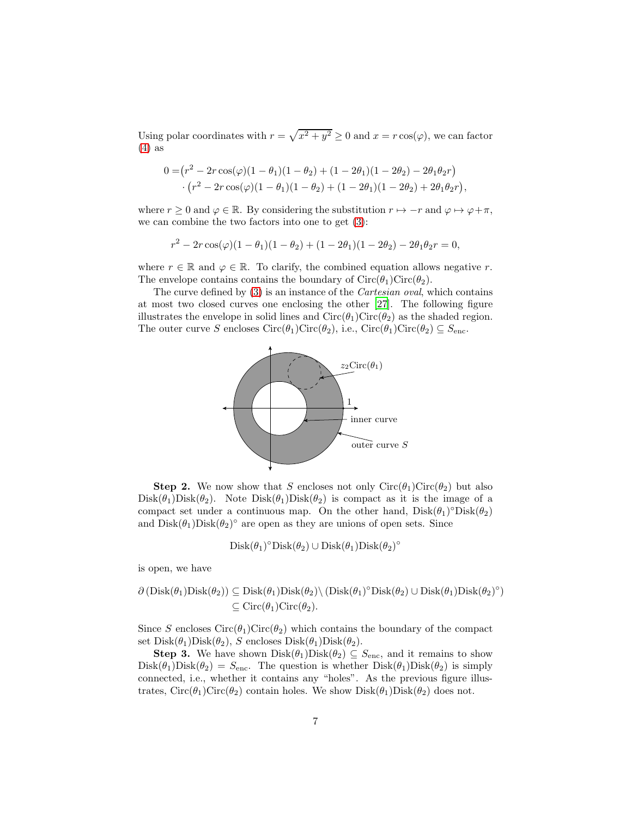Using polar coordinates with  $r = \sqrt{x^2 + y^2} \ge 0$  and  $x = r \cos(\varphi)$ , we can factor  $(4)$  as

$$
0 = (r^2 - 2r\cos(\varphi)(1 - \theta_1)(1 - \theta_2) + (1 - 2\theta_1)(1 - 2\theta_2) - 2\theta_1\theta_2r)
$$
  
 
$$
\cdot (r^2 - 2r\cos(\varphi)(1 - \theta_1)(1 - \theta_2) + (1 - 2\theta_1)(1 - 2\theta_2) + 2\theta_1\theta_2r),
$$

where  $r \geq 0$  and  $\varphi \in \mathbb{R}$ . By considering the substitution  $r \mapsto -r$  and  $\varphi \mapsto \varphi + \pi$ , we can combine the two factors into one to get [\(3\)](#page-4-3):

$$
r^{2} - 2r \cos(\varphi)(1 - \theta_{1})(1 - \theta_{2}) + (1 - 2\theta_{1})(1 - 2\theta_{2}) - 2\theta_{1}\theta_{2}r = 0,
$$

where  $r \in \mathbb{R}$  and  $\varphi \in \mathbb{R}$ . To clarify, the combined equation allows negative r. The envelope contains contains the boundary of  $Circ(\theta_1)Circ(\theta_2)$ .

The curve defined by [\(3\)](#page-4-3) is an instance of the Cartesian oval, which contains at most two closed curves one enclosing the other [\[27](#page-14-8)]. The following figure illustrates the envelope in solid lines and  $Circ(\theta_1)Circ(\theta_2)$  as the shaded region. The outer curve S encloses  $Circ(\theta_1)Circ(\theta_2)$ , i.e.,  $Circ(\theta_1)Circ(\theta_2) \subseteq S_{enc}$ .



**Step 2.** We now show that S encloses not only  $Circ(\theta_1)Circ(\theta_2)$  but also  $Disk(\theta_1)Disk(\theta_2)$ . Note  $Disk(\theta_1)Disk(\theta_2)$  is compact as it is the image of a compact set under a continuous map. On the other hand,  $Disk(\theta_1)^{\circ}Disk(\theta_2)$ and  $Disk(\theta_1)Disk(\theta_2)^\circ$  are open as they are unions of open sets. Since

$$
Disk(\theta_1)^{\circ}Disk(\theta_2) \cup Disk(\theta_1)Disk(\theta_2)^{\circ}
$$

is open, we have

$$
\partial (\text{Disk}(\theta_1) \text{Disk}(\theta_2)) \subseteq \text{Disk}(\theta_1) \text{Disk}(\theta_2) \setminus (\text{Disk}(\theta_1)^\circ \text{Disk}(\theta_2) \cup \text{Disk}(\theta_1) \text{Disk}(\theta_2)^\circ)
$$
  

$$
\subseteq \text{Circ}(\theta_1) \text{Circ}(\theta_2).
$$

Since S encloses  $Circ(\theta_1)Circ(\theta_2)$  which contains the boundary of the compact set  $Disk(\theta_1)Disk(\theta_2), S$  encloses  $Disk(\theta_1)Disk(\theta_2).$ 

**Step 3.** We have shown  $Dist(\theta_1)Disk(\theta_2) \subseteq S_{\text{enc}}$ , and it remains to show  $Disk(\theta_1)Disk(\theta_2) = S_{\text{enc}}$ . The question is whether  $Disk(\theta_1)Disk(\theta_2)$  is simply connected, i.e., whether it contains any "holes". As the previous figure illustrates,  $Circ(\theta_1)Circ(\theta_2)$  contain holes. We show  $Disk(\theta_1)Disk(\theta_2)$  does not.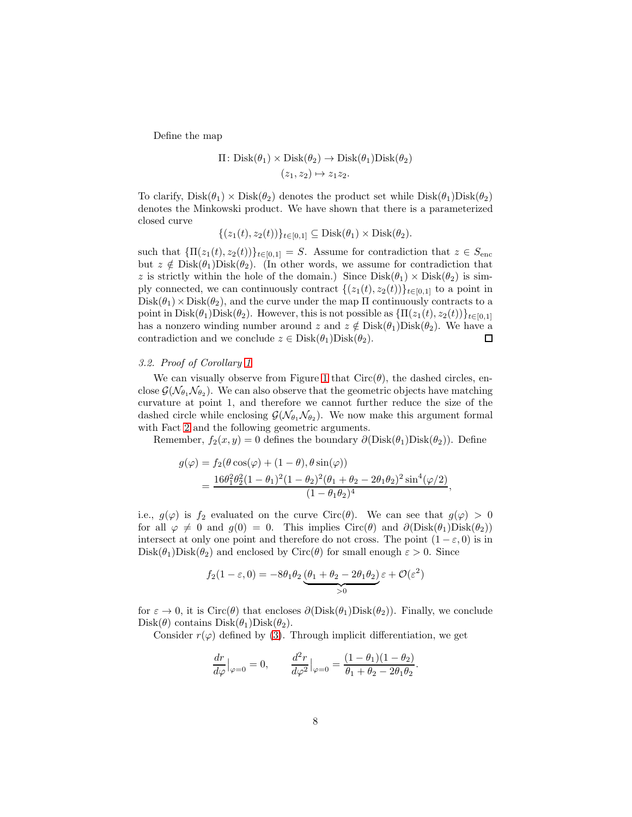Define the map

$$
\Pi: \text{Disk}(\theta_1) \times \text{Disk}(\theta_2) \to \text{Disk}(\theta_1) \text{Disk}(\theta_2)
$$

$$
(z_1, z_2) \mapsto z_1 z_2.
$$

To clarify,  $Dist(\theta_1) \times Disk(\theta_2)$  denotes the product set while  $Disk(\theta_1)Disk(\theta_2)$ denotes the Minkowski product. We have shown that there is a parameterized closed curve

$$
\{(z_1(t), z_2(t))\}_{t\in[0,1]} \subseteq \text{Disk}(\theta_1) \times \text{Disk}(\theta_2).
$$

such that  ${\Pi(z_1(t), z_2(t))}_{t\in[0,1]} = S$ . Assume for contradiction that  $z \in S_{\text{enc}}$ but  $z \notin \text{Disk}(\theta_1)\text{Disk}(\theta_2)$ . (In other words, we assume for contradiction that z is strictly within the hole of the domain.) Since  $Disk(\theta_1) \times Disk(\theta_2)$  is simply connected, we can continuously contract  $\{(z_1(t), z_2(t))\}_{t\in[0,1]}$  to a point in  $Disk(\theta_1) \times Disk(\theta_2)$ , and the curve under the map  $\Pi$  continuously contracts to a point in Disk $(\theta_1)$ Disk $(\theta_2)$ . However, this is not possible as  $\{\Pi(z_1(t), z_2(t))\}_{t\in[0,1]}$ has a nonzero winding number around z and  $z \notin \text{Disk}(\theta_1)\text{Disk}(\theta_2)$ . We have a contradiction and we conclude  $z \in \text{Disk}(\theta_1)\text{Disk}(\theta_2)$ .  $\Box$ 

# 3.2. Proof of Corollary [1](#page-5-0)

We can visually observe from Figure [1](#page-4-2) that  $Circ(\theta)$ , the dashed circles, enclose  $\mathcal{G}(\mathcal{N}_{\theta_1}\mathcal{N}_{\theta_2})$ . We can also observe that the geometric objects have matching curvature at point 1, and therefore we cannot further reduce the size of the dashed circle while enclosing  $\mathcal{G}(\mathcal{N}_{\theta_1}, \mathcal{N}_{\theta_2})$ . We now make this argument formal with Fact [2](#page-3-0) and the following geometric arguments.

Remember,  $f_2(x, y) = 0$  defines the boundary  $\partial(Disk(\theta_1)Disk(\theta_2))$ . Define

$$
g(\varphi) = f_2(\theta \cos(\varphi) + (1 - \theta), \theta \sin(\varphi))
$$
  
= 
$$
\frac{16\theta_1^2 \theta_2^2 (1 - \theta_1)^2 (1 - \theta_2)^2 (\theta_1 + \theta_2 - 2\theta_1 \theta_2)^2 \sin^4(\varphi/2)}{(1 - \theta_1 \theta_2)^4},
$$

i.e.,  $g(\varphi)$  is  $f_2$  evaluated on the curve Circ( $\theta$ ). We can see that  $g(\varphi) > 0$ for all  $\varphi \neq 0$  and  $g(0) = 0$ . This implies Circ( $\theta$ ) and  $\partial(Disk(\theta_1)Disk(\theta_2))$ intersect at only one point and therefore do not cross. The point  $(1 - \varepsilon, 0)$  is in  $Disk(\theta_1)Disk(\theta_2)$  and enclosed by Circ( $\theta$ ) for small enough  $\varepsilon > 0$ . Since

$$
f_2(1 - \varepsilon, 0) = -8\theta_1\theta_2 \underbrace{(\theta_1 + \theta_2 - 2\theta_1\theta_2)}_{>0} \varepsilon + \mathcal{O}(\varepsilon^2)
$$

for  $\varepsilon \to 0$ , it is Circ( $\theta$ ) that encloses  $\partial(Disk(\theta_1)Disk(\theta_2))$ . Finally, we conclude  $Disk(\theta)$  contains  $Disk(\theta_1)Disk(\theta_2)$ .

Consider  $r(\varphi)$  defined by [\(3\)](#page-4-3). Through implicit differentiation, we get

$$
\frac{dr}{d\varphi}\big|_{\varphi=0} = 0, \qquad \frac{d^2r}{d\varphi^2}\big|_{\varphi=0} = \frac{(1-\theta_1)(1-\theta_2)}{\theta_1+\theta_2-2\theta_1\theta_2}.
$$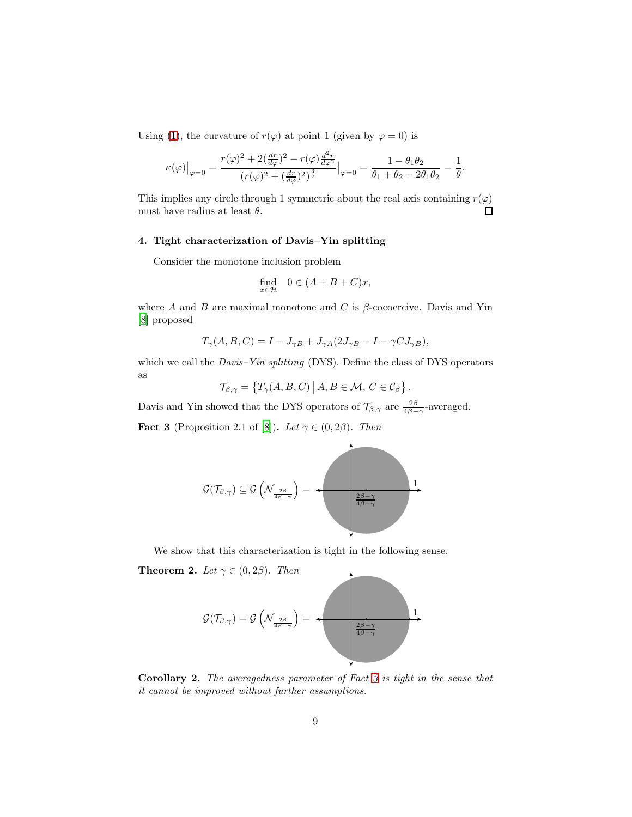Using [\(1\)](#page-3-1), the curvature of  $r(\varphi)$  at point 1 (given by  $\varphi = 0$ ) is

$$
\kappa(\varphi)\big|_{\varphi=0} = \frac{r(\varphi)^2 + 2(\frac{dr}{d\varphi})^2 - r(\varphi)\frac{d^2r}{d\varphi^2}}{(r(\varphi)^2 + (\frac{dr}{d\varphi})^2)^{\frac{3}{2}}}\big|_{\varphi=0} = \frac{1-\theta_1\theta_2}{\theta_1+\theta_2-2\theta_1\theta_2} = \frac{1}{\theta}.
$$

This implies any circle through 1 symmetric about the real axis containing  $r(\varphi)$ must have radius at least  $\theta$ .  $\Box$ 

# <span id="page-8-0"></span>4. Tight characterization of Davis–Yin splitting

Consider the monotone inclusion problem

$$
\text{find}_{x \in \mathcal{H}} \quad 0 \in (A + B + C)x,
$$

where A and B are maximal monotone and C is  $\beta$ -cocoercive. Davis and Yin [\[8\]](#page-13-4) proposed

$$
T_{\gamma}(A, B, C) = I - J_{\gamma B} + J_{\gamma A} (2J_{\gamma B} - I - \gamma C J_{\gamma B}),
$$

which we call the *Davis–Yin splitting* (DYS). Define the class of DYS operators as

 $\mathcal{T}_{\beta,\gamma} = \{T_{\gamma}(A,B,C) | A,B \in \mathcal{M}, C \in \mathcal{C}_{\beta}\}.$ 

Davis and Yin showed that the DYS operators of  $\mathcal{T}_{\beta,\gamma}$  are  $\frac{2\beta}{4\beta-\gamma}$ -averaged.

<span id="page-8-2"></span>**Fact 3** (Proposition 2.1 of [\[8](#page-13-4)]). Let  $\gamma \in (0, 2\beta)$ . Then



We show that this characterization is tight in the following sense.

<span id="page-8-3"></span>**Theorem 2.** Let  $\gamma \in (0, 2\beta)$ . Then



<span id="page-8-1"></span>Corollary 2. The averagedness parameter of Fact [3](#page-8-2) is tight in the sense that it cannot be improved without further assumptions.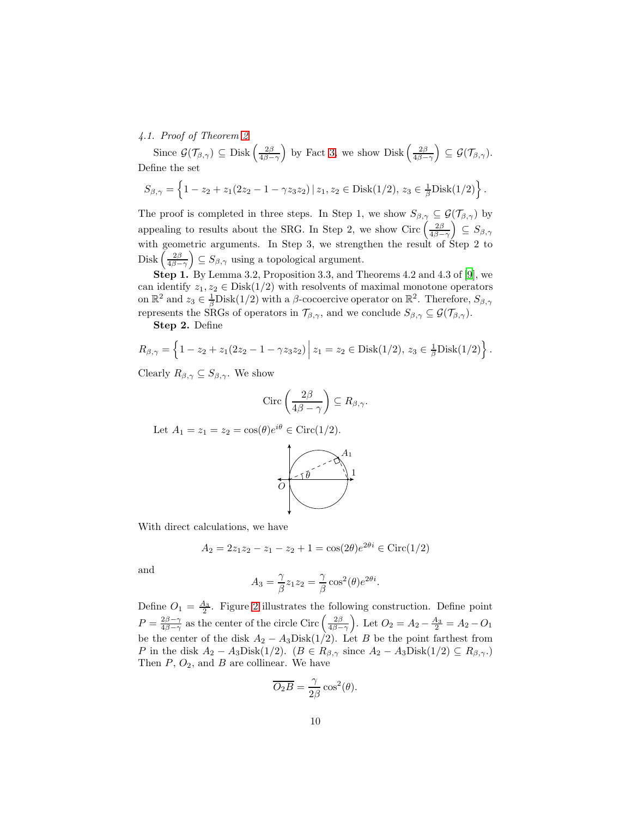# 4.1. Proof of Theorem [2](#page-8-3)

Since  $\mathcal{G}(\mathcal{T}_{\beta,\gamma}) \subseteq \text{Disk}\left(\frac{2\beta}{4\beta-\gamma}\right)$  by Fact [3,](#page-8-2) we show  $\text{Disk}\left(\frac{2\beta}{4\beta-\gamma}\right) \subseteq \mathcal{G}(\mathcal{T}_{\beta,\gamma}).$ Define the set

$$
S_{\beta,\gamma} = \left\{1 - z_2 + z_1(2z_2 - 1 - \gamma z_3 z_2) \,|\, z_1, z_2 \in \text{Disk}(1/2), \, z_3 \in \frac{1}{\beta} \text{Disk}(1/2)\right\}.
$$

The proof is completed in three steps. In Step 1, we show  $S_{\beta,\gamma} \subseteq \mathcal{G}(\mathcal{T}_{\beta,\gamma})$  by appealing to results about the SRG. In Step 2, we show Circ  $\left(\frac{2\beta}{4\beta-\gamma}\right) \subseteq S_{\beta,\gamma}$ with geometric arguments. In Step 3, we strengthen the result of Step 2 to Disk  $\left(\frac{2\beta}{4\beta-\gamma}\right) \subseteq S_{\beta,\gamma}$  using a topological argument.

Step 1. By Lemma 3.2, Proposition 3.3, and Theorems 4.2 and 4.3 of [\[9\]](#page-13-5), we can identify  $z_1, z_2 \in \text{Disk}(1/2)$  with resolvents of maximal monotone operators on  $\mathbb{R}^2$  and  $z_3 \in \frac{1}{\beta}$ Disk $(1/2)$  with a  $\beta$ -cocoercive operator on  $\mathbb{R}^2$ . Therefore,  $S_{\beta,\gamma}$ represents the SRGs of operators in  $\mathcal{T}_{\beta,\gamma}$ , and we conclude  $S_{\beta,\gamma} \subseteq \mathcal{G}(\mathcal{T}_{\beta,\gamma})$ .

Step 2. Define

$$
R_{\beta,\gamma} = \left\{1 - z_2 + z_1(2z_2 - 1 - \gamma z_3 z_2)\middle| z_1 = z_2 \in \text{Disk}(1/2), z_3 \in \frac{1}{\beta} \text{Disk}(1/2)\right\}.
$$

Clearly  $R_{\beta,\gamma} \subseteq S_{\beta,\gamma}$ . We show

$$
\text{Circ}\left(\frac{2\beta}{4\beta-\gamma}\right) \subseteq R_{\beta,\gamma}.
$$

Let  $A_1 = z_1 = z_2 = \cos(\theta)e^{i\theta} \in \text{Circ}(1/2)$ .



With direct calculations, we have

$$
A_2 = 2z_1z_2 - z_1 - z_2 + 1 = \cos(2\theta)e^{2\theta i} \in \text{Circ}(1/2)
$$

and

$$
A_3 = \frac{\gamma}{\beta} z_1 z_2 = \frac{\gamma}{\beta} \cos^2(\theta) e^{2\theta i}.
$$

Define  $O_1 = \frac{A_3}{2}$ . Figure [2](#page-11-0) illustrates the following construction. Define point  $P = \frac{2\beta - \gamma}{4\beta - \gamma}$  as the center of the circle Circ  $\left(\frac{2\beta}{4\beta - \gamma}\right)$ . Let  $O_2 = A_2 - \frac{A_3}{2} = A_2 - O_1$ be the center of the disk  $A_2 - A_3$ Disk $(1/2)$ . Let B be the point farthest from P in the disk  $A_2 - A_3 \text{Disk}(1/2)$ .  $(B \in R_{\beta,\gamma} \text{ since } A_2 - A_3 \text{Disk}(1/2) \subseteq R_{\beta,\gamma}$ . Then  $P$ ,  $O_2$ , and  $B$  are collinear. We have

$$
\overline{O_2B} = \frac{\gamma}{2\beta} \cos^2(\theta).
$$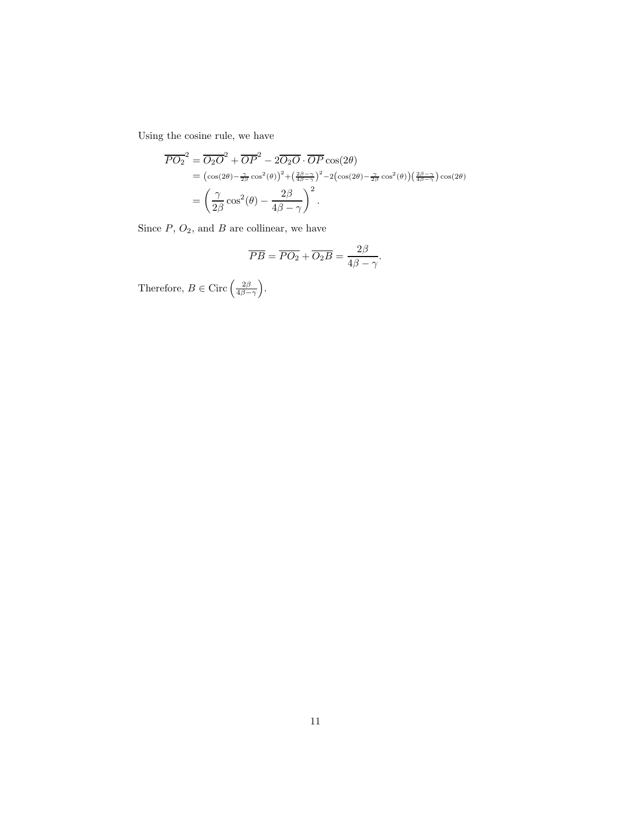Using the cosine rule, we have

$$
\overline{PO_2}^2 = \overline{O_2O}^2 + \overline{OP}^2 - 2\overline{O_2O} \cdot \overline{OP} \cos(2\theta)
$$
  
=  $(\cos(2\theta) - \frac{\gamma}{2\beta} \cos^2(\theta))^2 + (\frac{2\beta - \gamma}{4\beta - \gamma})^2 - 2(\cos(2\theta) - \frac{\gamma}{2\beta} \cos^2(\theta))(\frac{2\beta - \gamma}{4\beta - \gamma}) \cos(2\theta)$   
=  $\left(\frac{\gamma}{2\beta} \cos^2(\theta) - \frac{2\beta}{4\beta - \gamma}\right)^2$ .

Since  $P$ ,  $O_2$ , and  $B$  are collinear, we have

$$
\overline{PB} = \overline{PO_2} + \overline{O_2B} = \frac{2\beta}{4\beta - \gamma}.
$$

Therefore,  $B \in \text{Circ}\left(\frac{2\beta}{4\beta-\gamma}\right)$ .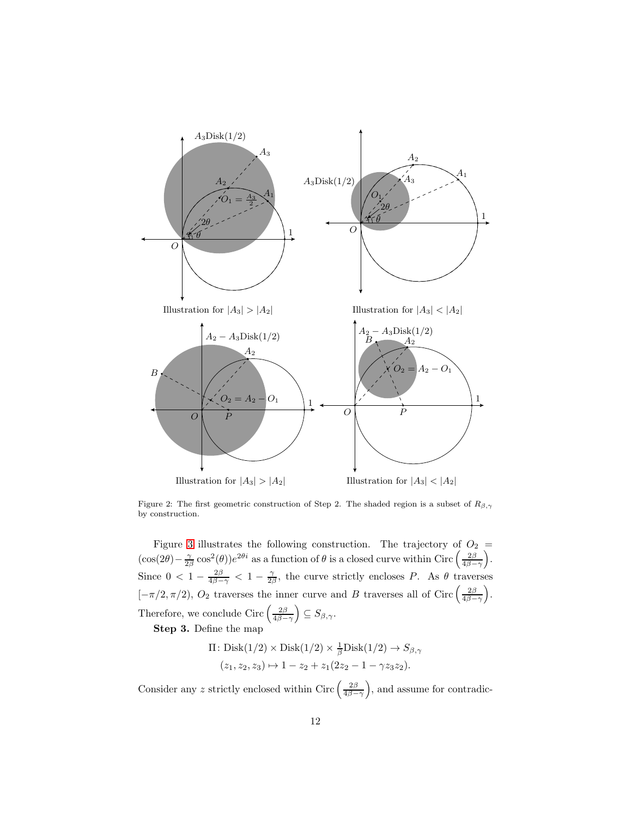<span id="page-11-0"></span>

Figure 2: The first geometric construction of Step 2. The shaded region is a subset of  $R_{\beta,\gamma}$ by construction.

Figure [3](#page-12-3) illustrates the following construction. The trajectory of  $O_2 =$  $(\cos(2\theta) - \frac{\gamma}{2\beta} \cos^2(\theta))e^{2\theta i}$  as a function of  $\theta$  is a closed curve within Circ  $\left(\frac{2\beta}{4\beta-\gamma}\right)$ . Since  $0 < 1 - \frac{2\beta}{4\beta - \gamma} < 1 - \frac{\gamma}{2\beta}$ , the curve strictly encloses P. As  $\theta$  traverses  $[-\pi/2, \pi/2], O_2$  traverses the inner curve and B traverses all of Circ  $\left(\frac{2\beta}{4\beta-\gamma}\right)$ . Therefore, we conclude Circ  $\left(\frac{2\beta}{4\beta-\gamma}\right) \subseteq S_{\beta,\gamma}$ .

Step 3. Define the map

$$
\Pi: \text{Disk}(1/2) \times \text{Disk}(1/2) \times \frac{1}{\beta} \text{Disk}(1/2) \to S_{\beta,\gamma}
$$
  

$$
(z_1, z_2, z_3) \mapsto 1 - z_2 + z_1(2z_2 - 1 - \gamma z_3 z_2).
$$

Consider any z strictly enclosed within Circ  $\left(\frac{2\beta}{4\beta-\gamma}\right)$ , and assume for contradic-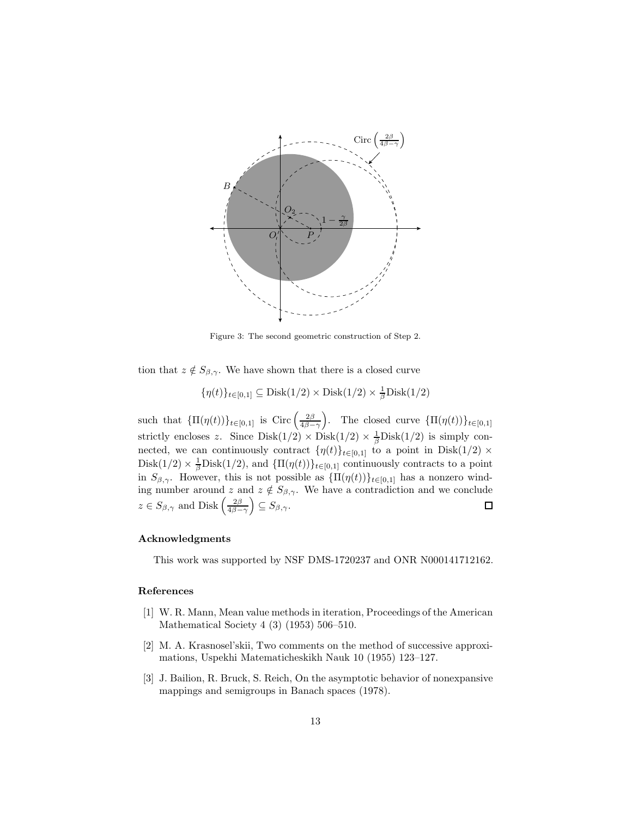<span id="page-12-3"></span>

Figure 3: The second geometric construction of Step 2.

tion that  $z \notin S_{\beta,\gamma}$ . We have shown that there is a closed curve

$$
\{\eta(t)\}_{t\in[0,1]}\subseteq\text{Disk}(1/2)\times\text{Disk}(1/2)\times\frac{1}{\beta}\text{Disk}(1/2)
$$

such that  $\{\Pi(\eta(t))\}_{t\in[0,1]}$  is Circ  $\left(\frac{2\beta}{4\beta-\gamma}\right)$ . The closed curve  $\{\Pi(\eta(t))\}_{t\in[0,1]}$ strictly encloses z. Since  $Dist(1/2) \times Dist(1/2) \times \frac{1}{\beta}Dist(1/2)$  is simply connected, we can continuously contract  $\{\eta(t)\}_{t\in[0,1]}$  to a point in Disk $(1/2)\times$ Disk(1/2)  $\times \frac{1}{\beta}$ Disk(1/2), and  $\{\Pi(\eta(t))\}_{t\in[0,1]}$  continuously contracts to a point in  $S_{\beta,\gamma}$ . However, this is not possible as  ${\Pi(\eta(t))}_{t\in[0,1]}$  has a nonzero winding number around z and  $z \notin S_{\beta,\gamma}$ . We have a contradiction and we conclude  $z \in S_{\beta,\gamma}$  and  $\text{Disk}\left(\frac{2\beta}{4\beta-\gamma}\right) \subseteq S_{\beta,\gamma}.$  $\square$ 

# Acknowledgments

This work was supported by NSF DMS-1720237 and ONR N000141712162.

# References

- <span id="page-12-0"></span>[1] W. R. Mann, Mean value methods in iteration, Proceedings of the American Mathematical Society 4 (3) (1953) 506–510.
- <span id="page-12-1"></span>[2] M. A. Krasnosel'skii, Two comments on the method of successive approximations, Uspekhi Matematicheskikh Nauk 10 (1955) 123–127.
- <span id="page-12-2"></span>[3] J. Bailion, R. Bruck, S. Reich, On the asymptotic behavior of nonexpansive mappings and semigroups in Banach spaces (1978).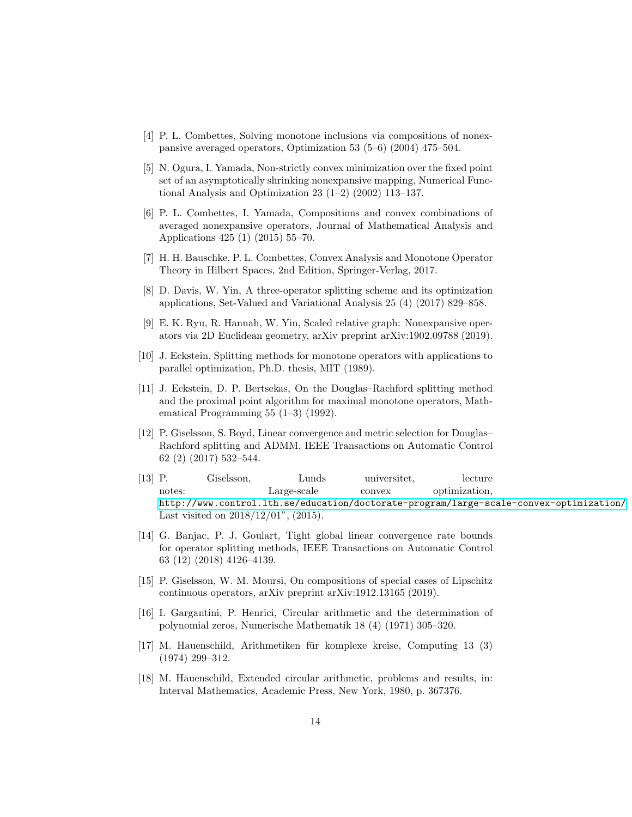- <span id="page-13-0"></span>[4] P. L. Combettes, Solving monotone inclusions via compositions of nonexpansive averaged operators, Optimization 53 (5–6) (2004) 475–504.
- <span id="page-13-1"></span>[5] N. Ogura, I. Yamada, Non-strictly convex minimization over the fixed point set of an asymptotically shrinking nonexpansive mapping, Numerical Functional Analysis and Optimization 23 (1–2) (2002) 113–137.
- <span id="page-13-2"></span>[6] P. L. Combettes, I. Yamada, Compositions and convex combinations of averaged nonexpansive operators, Journal of Mathematical Analysis and Applications 425 (1) (2015) 55–70.
- <span id="page-13-3"></span>[7] H. H. Bauschke, P. L. Combettes, Convex Analysis and Monotone Operator Theory in Hilbert Spaces, 2nd Edition, Springer-Verlag, 2017.
- <span id="page-13-4"></span>[8] D. Davis, W. Yin, A three-operator splitting scheme and its optimization applications, Set-Valued and Variational Analysis 25 (4) (2017) 829–858.
- <span id="page-13-5"></span>[9] E. K. Ryu, R. Hannah, W. Yin, Scaled relative graph: Nonexpansive operators via 2D Euclidean geometry, arXiv preprint arXiv:1902.09788 (2019).
- <span id="page-13-6"></span>[10] J. Eckstein, Splitting methods for monotone operators with applications to parallel optimization, Ph.D. thesis, MIT (1989).
- <span id="page-13-7"></span>[11] J. Eckstein, D. P. Bertsekas, On the Douglas–Rachford splitting method and the proximal point algorithm for maximal monotone operators, Mathematical Programming 55 (1–3) (1992).
- <span id="page-13-8"></span>[12] P. Giselsson, S. Boyd, Linear convergence and metric selection for Douglas– Rachford splitting and ADMM, IEEE Transactions on Automatic Control 62 (2) (2017) 532–544.
- <span id="page-13-9"></span>[13] P. Giselsson, Lunds universitet, lecture notes: Large-scale convex optimization, <http://www.control.lth.se/education/doctorate-program/large-scale-convex-optimization/> Last visited on 2018/12/01", (2015).
- <span id="page-13-10"></span>[14] G. Banjac, P. J. Goulart, Tight global linear convergence rate bounds for operator splitting methods, IEEE Transactions on Automatic Control 63 (12) (2018) 4126–4139.
- <span id="page-13-11"></span>[15] P. Giselsson, W. M. Moursi, On compositions of special cases of Lipschitz continuous operators, arXiv preprint arXiv:1912.13165 (2019).
- <span id="page-13-12"></span>[16] I. Gargantini, P. Henrici, Circular arithmetic and the determination of polynomial zeros, Numerische Mathematik 18 (4) (1971) 305–320.
- <span id="page-13-13"></span>[17] M. Hauenschild, Arithmetiken für komplexe kreise, Computing 13 (3) (1974) 299–312.
- <span id="page-13-14"></span>[18] M. Hauenschild, Extended circular arithmetic, problems and results, in: Interval Mathematics, Academic Press, New York, 1980, p. 367376.